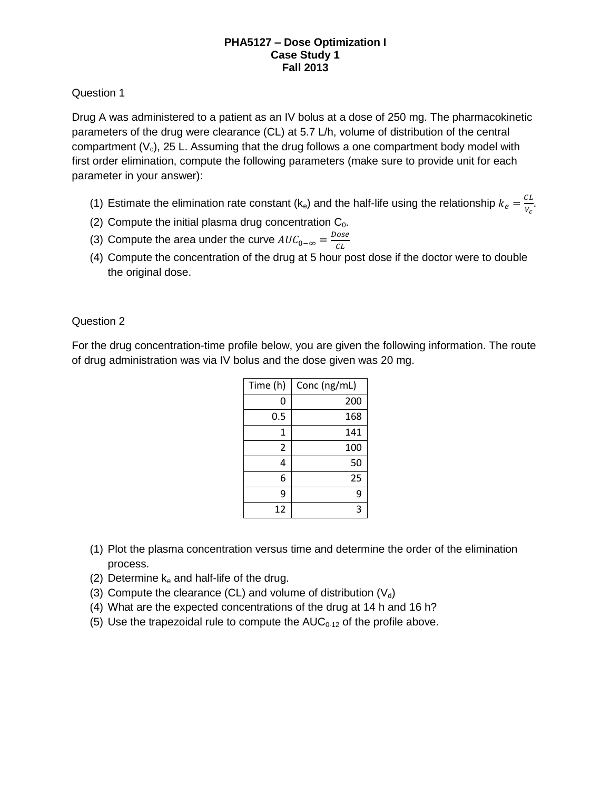#### **PHA5127 – Dose Optimization I Case Study 1 Fall 2013**

# Question 1

Drug A was administered to a patient as an IV bolus at a dose of 250 mg. The pharmacokinetic parameters of the drug were clearance (CL) at 5.7 L/h, volume of distribution of the central compartment  $(V_c)$ , 25 L. Assuming that the drug follows a one compartment body model with first order elimination, compute the following parameters (make sure to provide unit for each parameter in your answer):

- (1) Estimate the elimination rate constant (k<sub>e</sub>) and the half-life using the relationship  $k_e = \frac{C}{\omega}$  $rac{L}{V_c}$ .
- (2) Compute the initial plasma drug concentration  $C_0$ .
- (3) Compute the area under the curve  $AUC_{0-\infty} = \frac{D}{2}$  $\mathcal C$
- (4) Compute the concentration of the drug at 5 hour post dose if the doctor were to double the original dose.

# Question 2

For the drug concentration-time profile below, you are given the following information. The route of drug administration was via IV bolus and the dose given was 20 mg.

| Time (h) | Conc (ng/mL) |
|----------|--------------|
| 0        | 200          |
| 0.5      | 168          |
| 1        | 141          |
| 2        | 100          |
| 4        | 50           |
| 6        | 25           |
| 9        | 9            |
| 12       | ว            |

- (1) Plot the plasma concentration versus time and determine the order of the elimination process.
- (2) Determine  $k_e$  and half-life of the drug.
- (3) Compute the clearance (CL) and volume of distribution  $(V_d)$
- (4) What are the expected concentrations of the drug at 14 h and 16 h?
- (5) Use the trapezoidal rule to compute the  $AUC_{0-12}$  of the profile above.